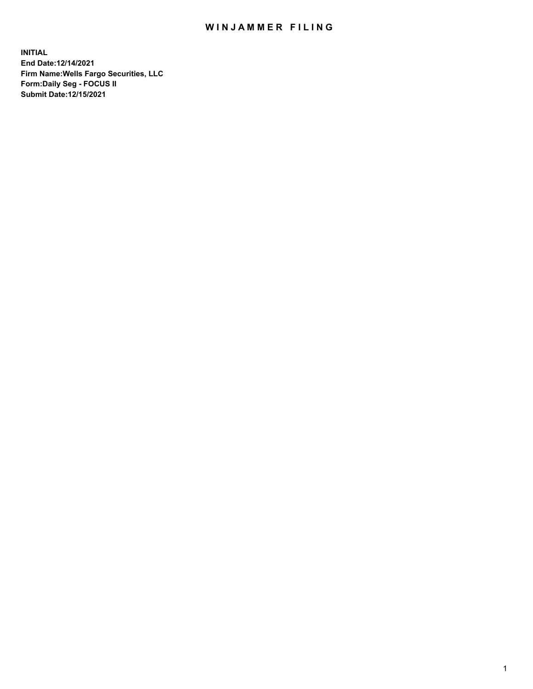## WIN JAMMER FILING

**INITIAL End Date:12/14/2021 Firm Name:Wells Fargo Securities, LLC Form:Daily Seg - FOCUS II Submit Date:12/15/2021**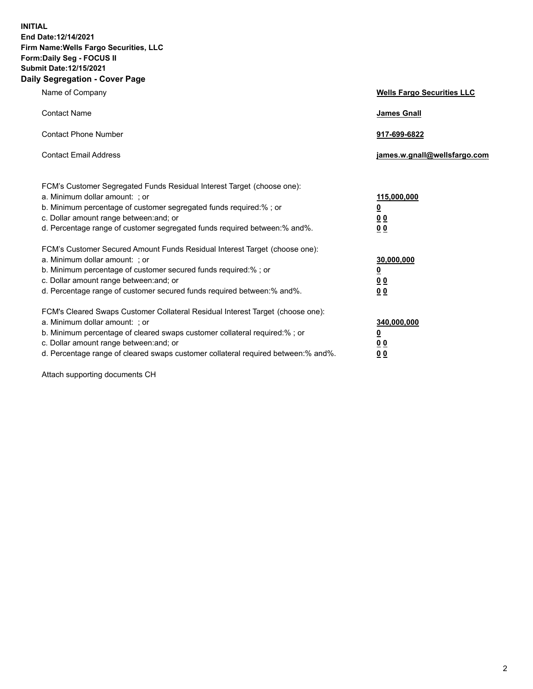**INITIAL End Date:12/14/2021 Firm Name:Wells Fargo Securities, LLC Form:Daily Seg - FOCUS II Submit Date:12/15/2021 Daily Segregation - Cover Page**

| Name of Company                                                                                                                                                                                                                                                                                                                | <b>Wells Fargo Securities LLC</b>                          |
|--------------------------------------------------------------------------------------------------------------------------------------------------------------------------------------------------------------------------------------------------------------------------------------------------------------------------------|------------------------------------------------------------|
| <b>Contact Name</b>                                                                                                                                                                                                                                                                                                            | <b>James Gnall</b>                                         |
| <b>Contact Phone Number</b>                                                                                                                                                                                                                                                                                                    | 917-699-6822                                               |
| <b>Contact Email Address</b>                                                                                                                                                                                                                                                                                                   | james.w.gnall@wellsfargo.com                               |
| FCM's Customer Segregated Funds Residual Interest Target (choose one):<br>a. Minimum dollar amount: ; or<br>b. Minimum percentage of customer segregated funds required:% ; or<br>c. Dollar amount range between: and; or<br>d. Percentage range of customer segregated funds required between: % and %.                       | 115,000,000<br><u>0</u><br><u>00</u><br>0 <sub>0</sub>     |
| FCM's Customer Secured Amount Funds Residual Interest Target (choose one):<br>a. Minimum dollar amount: ; or<br>b. Minimum percentage of customer secured funds required:% ; or<br>c. Dollar amount range between: and; or<br>d. Percentage range of customer secured funds required between: % and %.                         | 30,000,000<br><u>0</u><br>0 <sub>0</sub><br>0 <sub>0</sub> |
| FCM's Cleared Swaps Customer Collateral Residual Interest Target (choose one):<br>a. Minimum dollar amount: ; or<br>b. Minimum percentage of cleared swaps customer collateral required:% ; or<br>c. Dollar amount range between: and; or<br>d. Percentage range of cleared swaps customer collateral required between:% and%. | 340,000,000<br><u>0</u><br>00<br><u>00</u>                 |

Attach supporting documents CH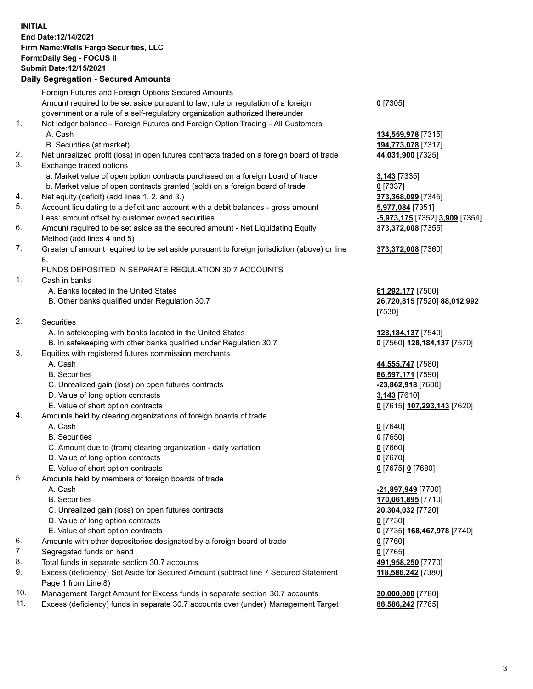**INITIAL End Date:12/14/2021 Firm Name:Wells Fargo Securities, LLC Form:Daily Seg - FOCUS II Submit Date:12/15/2021**

## **Daily Segregation - Secured Amounts**

|     | Foreign Futures and Foreign Options Secured Amounts                                         |                                             |
|-----|---------------------------------------------------------------------------------------------|---------------------------------------------|
|     | Amount required to be set aside pursuant to law, rule or regulation of a foreign            | $0$ [7305]                                  |
|     | government or a rule of a self-regulatory organization authorized thereunder                |                                             |
| 1.  | Net ledger balance - Foreign Futures and Foreign Option Trading - All Customers             |                                             |
|     | A. Cash                                                                                     | 134,559,978 [7315]                          |
|     | B. Securities (at market)                                                                   | 194,773,078 [7317]                          |
| 2.  | Net unrealized profit (loss) in open futures contracts traded on a foreign board of trade   | 44,031,900 [7325]                           |
| 3.  | Exchange traded options                                                                     |                                             |
|     | a. Market value of open option contracts purchased on a foreign board of trade              | 3,143 [7335]                                |
|     | b. Market value of open contracts granted (sold) on a foreign board of trade                | $0$ [7337]                                  |
| 4.  | Net equity (deficit) (add lines 1. 2. and 3.)                                               | 373,368,099 [7345]                          |
| 5.  | Account liquidating to a deficit and account with a debit balances - gross amount           | 5,977,084 [7351]                            |
|     | Less: amount offset by customer owned securities                                            | <mark>-5,973,175</mark> [7352] 3,909 [7354] |
| 6.  | Amount required to be set aside as the secured amount - Net Liquidating Equity              | 373,372,008 [7355]                          |
|     | Method (add lines 4 and 5)                                                                  |                                             |
| 7.  | Greater of amount required to be set aside pursuant to foreign jurisdiction (above) or line | 373,372,008 [7360]                          |
|     | 6.                                                                                          |                                             |
|     | FUNDS DEPOSITED IN SEPARATE REGULATION 30.7 ACCOUNTS                                        |                                             |
| 1.  | Cash in banks                                                                               |                                             |
|     | A. Banks located in the United States                                                       | 61,292,177 [7500]                           |
|     | B. Other banks qualified under Regulation 30.7                                              | 26,720,815 [7520] 88,012,992                |
|     |                                                                                             | [7530]                                      |
| 2.  | Securities                                                                                  |                                             |
|     | A. In safekeeping with banks located in the United States                                   | 128, 184, 137 [7540]                        |
|     | B. In safekeeping with other banks qualified under Regulation 30.7                          | 0 [7560] 128,184,137 [7570]                 |
| 3.  | Equities with registered futures commission merchants                                       |                                             |
|     | A. Cash                                                                                     | 44,555,747 [7580]                           |
|     | <b>B.</b> Securities                                                                        | 86,597,171 [7590]                           |
|     | C. Unrealized gain (loss) on open futures contracts                                         | -23,862,918 [7600]                          |
|     | D. Value of long option contracts                                                           | 3,143 [7610]                                |
|     | E. Value of short option contracts                                                          | 0 [7615] 107,293,143 [7620]                 |
| 4.  | Amounts held by clearing organizations of foreign boards of trade                           |                                             |
|     | A. Cash                                                                                     | $0$ [7640]                                  |
|     | <b>B.</b> Securities                                                                        | $0$ [7650]                                  |
|     | C. Amount due to (from) clearing organization - daily variation                             | $0$ [7660]                                  |
|     | D. Value of long option contracts                                                           | $0$ [7670]                                  |
|     | E. Value of short option contracts                                                          | 0 [7675] 0 [7680]                           |
| 5.  | Amounts held by members of foreign boards of trade                                          |                                             |
|     | A. Cash                                                                                     | -21,897,949 [7700]                          |
|     | <b>B.</b> Securities                                                                        | 170,061,895 [7710]                          |
|     | C. Unrealized gain (loss) on open futures contracts                                         | 20,304,032 [7720]                           |
|     | D. Value of long option contracts                                                           | $0$ [7730]                                  |
|     | E. Value of short option contracts                                                          | 0 [7735] 168,467,978 [7740]                 |
| 6.  | Amounts with other depositories designated by a foreign board of trade                      | $0$ [7760]                                  |
| 7.  | Segregated funds on hand                                                                    | $0$ [7765]                                  |
| 8.  | Total funds in separate section 30.7 accounts                                               | 491,958,250 [7770]                          |
| 9.  | Excess (deficiency) Set Aside for Secured Amount (subtract line 7 Secured Statement         | 118,586,242 [7380]                          |
|     | Page 1 from Line 8)                                                                         |                                             |
| 10. | Management Target Amount for Excess funds in separate section 30.7 accounts                 | 30,000,000 [7780]                           |

11. Excess (deficiency) funds in separate 30.7 accounts over (under) Management Target **88,586,242** [7785]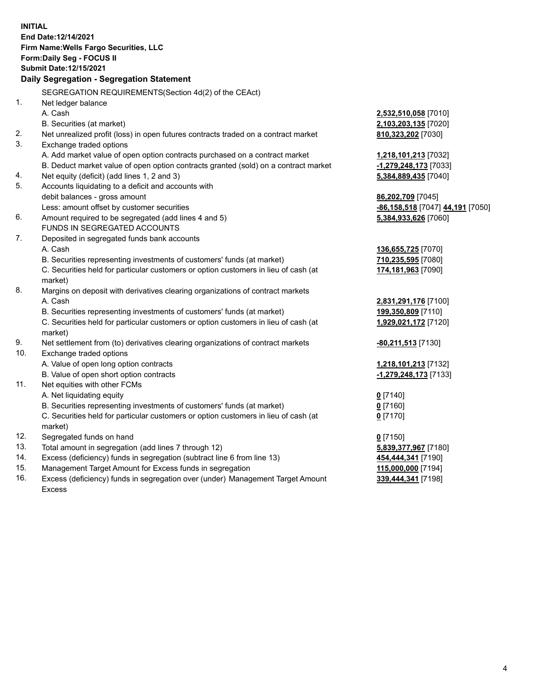**INITIAL End Date:12/14/2021 Firm Name:Wells Fargo Securities, LLC Form:Daily Seg - FOCUS II Submit Date:12/15/2021 Daily Segregation - Segregation Statement** SEGREGATION REQUIREMENTS(Section 4d(2) of the CEAct) 1. Net ledger balance A. Cash **2,532,510,058** [7010] B. Securities (at market) **2,103,203,135** [7020] 2. Net unrealized profit (loss) in open futures contracts traded on a contract market **810,323,202** [7030] 3. Exchange traded options A. Add market value of open option contracts purchased on a contract market **1,218,101,213** [7032] B. Deduct market value of open option contracts granted (sold) on a contract market **-1,279,248,173** [7033] 4. Net equity (deficit) (add lines 1, 2 and 3) **5,384,889,435** [7040] 5. Accounts liquidating to a deficit and accounts with debit balances - gross amount **86,202,709** [7045] Less: amount offset by customer securities **-86,158,518** [7047] **44,191** [7050] 6. Amount required to be segregated (add lines 4 and 5) **5,384,933,626** [7060] FUNDS IN SEGREGATED ACCOUNTS 7. Deposited in segregated funds bank accounts A. Cash **136,655,725** [7070] B. Securities representing investments of customers' funds (at market) **710,235,595** [7080] C. Securities held for particular customers or option customers in lieu of cash (at market) **174,181,963** [7090] 8. Margins on deposit with derivatives clearing organizations of contract markets A. Cash **2,831,291,176** [7100] B. Securities representing investments of customers' funds (at market) **199,350,809** [7110] C. Securities held for particular customers or option customers in lieu of cash (at market) **1,929,021,172** [7120] 9. Net settlement from (to) derivatives clearing organizations of contract markets **-80,211,513** [7130] 10. Exchange traded options A. Value of open long option contracts **1,218,101,213** [7132] B. Value of open short option contracts **-1,279,248,173** [7133] 11. Net equities with other FCMs A. Net liquidating equity **0** [7140] B. Securities representing investments of customers' funds (at market) **0** [7160] C. Securities held for particular customers or option customers in lieu of cash (at market) **0** [7170]

- 12. Segregated funds on hand **0** [7150]
- 13. Total amount in segregation (add lines 7 through 12) **5,839,377,967** [7180]
- 14. Excess (deficiency) funds in segregation (subtract line 6 from line 13) **454,444,341** [7190]
- 15. Management Target Amount for Excess funds in segregation **115,000,000** [7194]
- 16. Excess (deficiency) funds in segregation over (under) Management Target Amount Excess

**339,444,341** [7198]